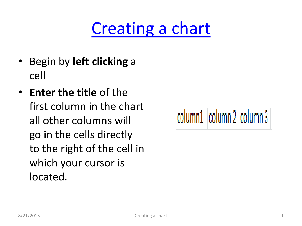## [Creating a chart](#page-1-0)

- Begin by **left clicking** a cell
- **Enter the title** of the first column in the chart all other columns will go in the cells directly to the right of the cell in which your cursor is located.

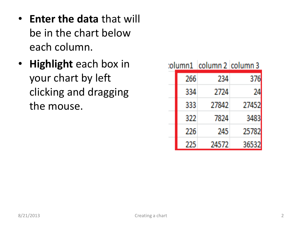- **Enter the data** that will be in the chart below each column.
- <span id="page-1-0"></span>• **Highlight** each box in your chart by left clicking and dragging the mouse.

|  |     | tolumn1   column 2   column 3 |       |
|--|-----|-------------------------------|-------|
|  | 266 | 234                           | 376   |
|  | 334 | 2724                          | 74    |
|  | 333 | 27842                         | 27452 |
|  | 322 | 7824                          | 3483  |
|  | 226 | 245                           | 25782 |
|  | 225 | 24572                         | 36532 |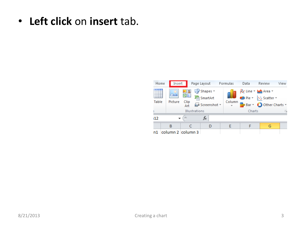• **Left click** on **insert** tab.

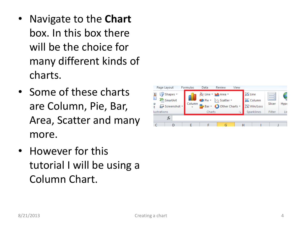- Navigate to the **Chart** box. In this box there will be the choice for many different kinds of charts.
- Some of these charts are Column, Pie, Bar, Area, Scatter and many more.
- However for this tutorial I will be using a Column Chart.

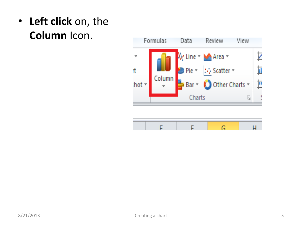• **Left click** on, the **Column** Icon.



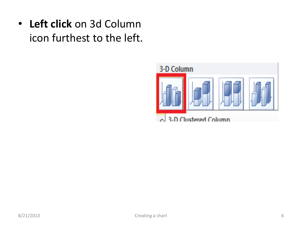• **Left click** on 3d Column icon furthest to the left.